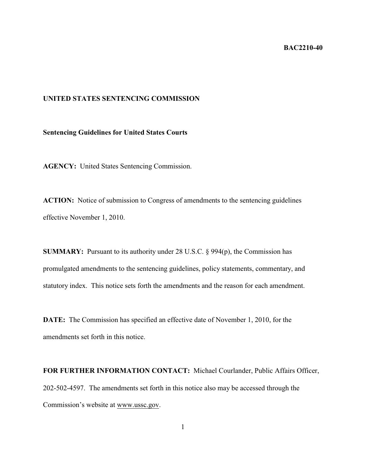## **BAC2210-40**

## **UNITED STATES SENTENCING COMMISSION**

## **Sentencing Guidelines for United States Courts**

**AGENCY:** United States Sentencing Commission.

**ACTION:** Notice of submission to Congress of amendments to the sentencing guidelines effective November 1, 2010.

**SUMMARY:** Pursuant to its authority under 28 U.S.C. § 994(p), the Commission has promulgated amendments to the sentencing guidelines, policy statements, commentary, and statutory index. This notice sets forth the amendments and the reason for each amendment.

**DATE:** The Commission has specified an effective date of November 1, 2010, for the amendments set forth in this notice.

**FOR FURTHER INFORMATION CONTACT:** Michael Courlander, Public Affairs Officer, 202-502-4597. The amendments set forth in this notice also may be accessed through the Commission's website at www.ussc.gov.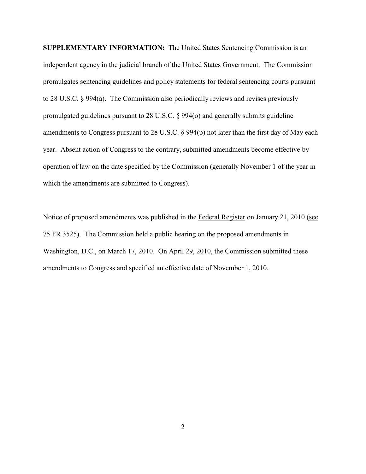**SUPPLEMENTARY INFORMATION:** The United States Sentencing Commission is an independent agency in the judicial branch of the United States Government. The Commission promulgates sentencing guidelines and policy statements for federal sentencing courts pursuant to 28 U.S.C. § 994(a). The Commission also periodically reviews and revises previously promulgated guidelines pursuant to 28 U.S.C. § 994(o) and generally submits guideline amendments to Congress pursuant to 28 U.S.C. § 994(p) not later than the first day of May each year. Absent action of Congress to the contrary, submitted amendments become effective by operation of law on the date specified by the Commission (generally November 1 of the year in which the amendments are submitted to Congress).

Notice of proposed amendments was published in the Federal Register on January 21, 2010 (see 75 FR 3525). The Commission held a public hearing on the proposed amendments in Washington, D.C., on March 17, 2010. On April 29, 2010, the Commission submitted these amendments to Congress and specified an effective date of November 1, 2010.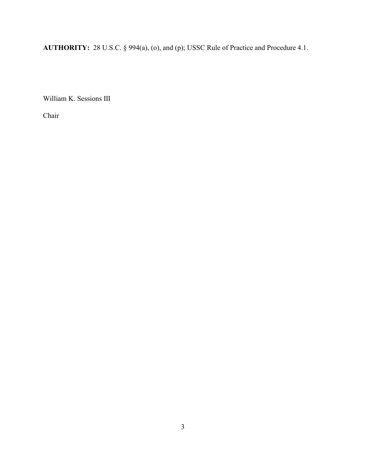**AUTHORITY:** 28 U.S.C. § 994(a), (o), and (p); USSC Rule of Practice and Procedure 4.1.

William K. Sessions III

Chair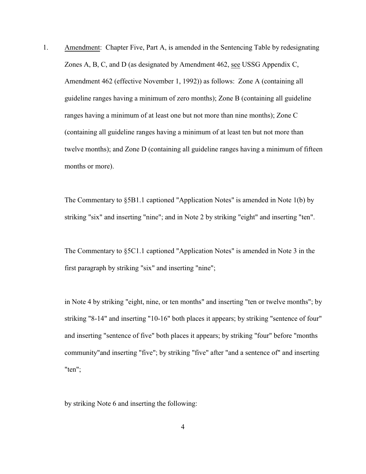1. Amendment: Chapter Five, Part A, is amended in the Sentencing Table by redesignating Zones A, B, C, and D (as designated by Amendment 462, see USSG Appendix C, Amendment 462 (effective November 1, 1992)) as follows: Zone A (containing all guideline ranges having a minimum of zero months); Zone B (containing all guideline ranges having a minimum of at least one but not more than nine months); Zone C (containing all guideline ranges having a minimum of at least ten but not more than twelve months); and Zone D (containing all guideline ranges having a minimum of fifteen months or more).

The Commentary to §5B1.1 captioned "Application Notes" is amended in Note 1(b) by striking "six" and inserting "nine"; and in Note 2 by striking "eight" and inserting "ten".

The Commentary to §5C1.1 captioned "Application Notes" is amended in Note 3 in the first paragraph by striking "six" and inserting "nine";

in Note 4 by striking "eight, nine, or ten months" and inserting "ten or twelve months"; by striking "8-14" and inserting "10-16" both places it appears; by striking "sentence of four" and inserting "sentence of five" both places it appears; by striking "four" before "months community"and inserting "five"; by striking "five" after "and a sentence of" and inserting "ten";

by striking Note 6 and inserting the following: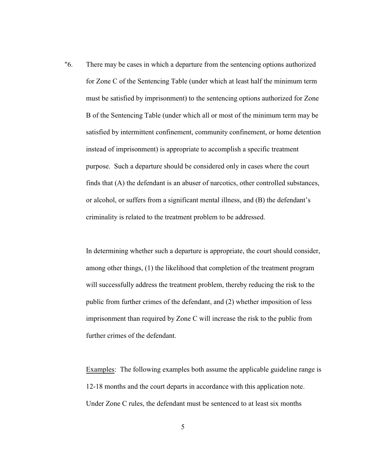"6. There may be cases in which a departure from the sentencing options authorized for Zone C of the Sentencing Table (under which at least half the minimum term must be satisfied by imprisonment) to the sentencing options authorized for Zone B of the Sentencing Table (under which all or most of the minimum term may be satisfied by intermittent confinement, community confinement, or home detention instead of imprisonment) is appropriate to accomplish a specific treatment purpose. Such a departure should be considered only in cases where the court finds that (A) the defendant is an abuser of narcotics, other controlled substances, or alcohol, or suffers from a significant mental illness, and (B) the defendant's criminality is related to the treatment problem to be addressed.

In determining whether such a departure is appropriate, the court should consider, among other things, (1) the likelihood that completion of the treatment program will successfully address the treatment problem, thereby reducing the risk to the public from further crimes of the defendant, and (2) whether imposition of less imprisonment than required by Zone C will increase the risk to the public from further crimes of the defendant.

Examples: The following examples both assume the applicable guideline range is 12-18 months and the court departs in accordance with this application note. Under Zone C rules, the defendant must be sentenced to at least six months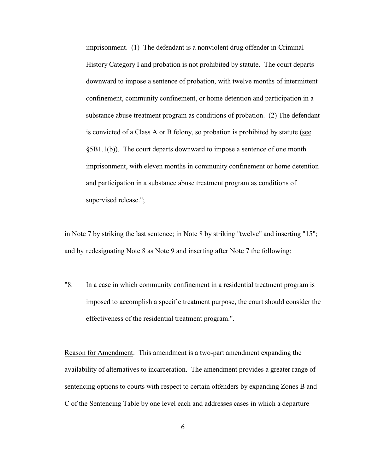imprisonment. (1) The defendant is a nonviolent drug offender in Criminal History Category I and probation is not prohibited by statute. The court departs downward to impose a sentence of probation, with twelve months of intermittent confinement, community confinement, or home detention and participation in a substance abuse treatment program as conditions of probation. (2) The defendant is convicted of a Class A or B felony, so probation is prohibited by statute (see §5B1.1(b)). The court departs downward to impose a sentence of one month imprisonment, with eleven months in community confinement or home detention and participation in a substance abuse treatment program as conditions of supervised release.";

in Note 7 by striking the last sentence; in Note 8 by striking "twelve" and inserting "15"; and by redesignating Note 8 as Note 9 and inserting after Note 7 the following:

"8. In a case in which community confinement in a residential treatment program is imposed to accomplish a specific treatment purpose, the court should consider the effectiveness of the residential treatment program.".

Reason for Amendment: This amendment is a two-part amendment expanding the availability of alternatives to incarceration. The amendment provides a greater range of sentencing options to courts with respect to certain offenders by expanding Zones B and C of the Sentencing Table by one level each and addresses cases in which a departure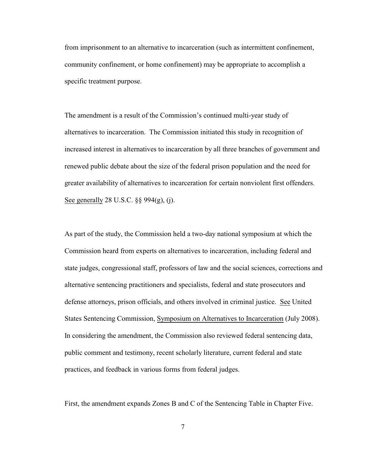from imprisonment to an alternative to incarceration (such as intermittent confinement, community confinement, or home confinement) may be appropriate to accomplish a specific treatment purpose.

The amendment is a result of the Commission's continued multi-year study of alternatives to incarceration. The Commission initiated this study in recognition of increased interest in alternatives to incarceration by all three branches of government and renewed public debate about the size of the federal prison population and the need for greater availability of alternatives to incarceration for certain nonviolent first offenders. See generally 28 U.S.C. §§ 994(g), (j).

As part of the study, the Commission held a two-day national symposium at which the Commission heard from experts on alternatives to incarceration, including federal and state judges, congressional staff, professors of law and the social sciences, corrections and alternative sentencing practitioners and specialists, federal and state prosecutors and defense attorneys, prison officials, and others involved in criminal justice. See United States Sentencing Commission, Symposium on Alternatives to Incarceration (July 2008). In considering the amendment, the Commission also reviewed federal sentencing data, public comment and testimony, recent scholarly literature, current federal and state practices, and feedback in various forms from federal judges.

First, the amendment expands Zones B and C of the Sentencing Table in Chapter Five.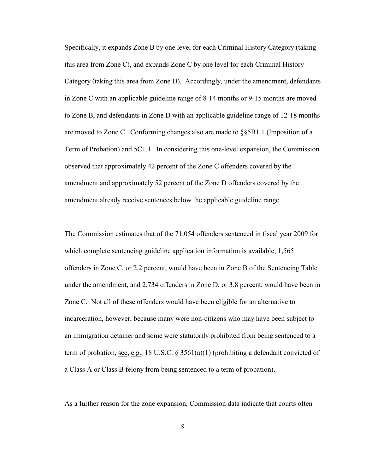Specifically, it expands Zone B by one level for each Criminal History Category (taking this area from Zone C), and expands Zone C by one level for each Criminal History Category (taking this area from Zone D). Accordingly, under the amendment, defendants in Zone C with an applicable guideline range of 8-14 months or 9-15 months are moved to Zone B, and defendants in Zone D with an applicable guideline range of 12-18 months are moved to Zone C. Conforming changes also are made to §§5B1.1 (Imposition of a Term of Probation) and 5C1.1. In considering this one-level expansion, the Commission observed that approximately 42 percent of the Zone C offenders covered by the amendment and approximately 52 percent of the Zone D offenders covered by the amendment already receive sentences below the applicable guideline range.

The Commission estimates that of the 71,054 offenders sentenced in fiscal year 2009 for which complete sentencing guideline application information is available, 1,565 offenders in Zone C, or 2.2 percent, would have been in Zone B of the Sentencing Table under the amendment, and 2,734 offenders in Zone D, or 3.8 percent, would have been in Zone C. Not all of these offenders would have been eligible for an alternative to incarceration, however, because many were non-citizens who may have been subject to an immigration detainer and some were statutorily prohibited from being sentenced to a term of probation, see, e.g., 18 U.S.C. § 3561(a)(1) (prohibiting a defendant convicted of a Class A or Class B felony from being sentenced to a term of probation).

As a further reason for the zone expansion, Commission data indicate that courts often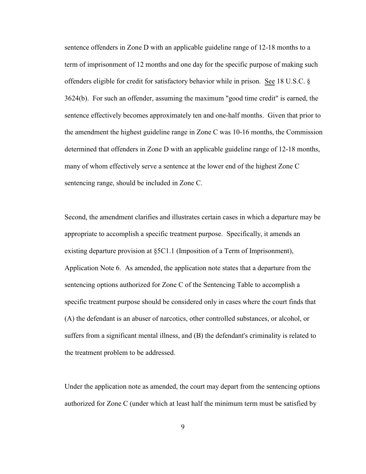sentence offenders in Zone D with an applicable guideline range of 12-18 months to a term of imprisonment of 12 months and one day for the specific purpose of making such offenders eligible for credit for satisfactory behavior while in prison. See 18 U.S.C. § 3624(b). For such an offender, assuming the maximum "good time credit" is earned, the sentence effectively becomes approximately ten and one-half months. Given that prior to the amendment the highest guideline range in Zone C was 10-16 months, the Commission determined that offenders in Zone D with an applicable guideline range of 12-18 months, many of whom effectively serve a sentence at the lower end of the highest Zone C sentencing range, should be included in Zone C.

Second, the amendment clarifies and illustrates certain cases in which a departure may be appropriate to accomplish a specific treatment purpose. Specifically, it amends an existing departure provision at §5C1.1 (Imposition of a Term of Imprisonment), Application Note 6. As amended, the application note states that a departure from the sentencing options authorized for Zone C of the Sentencing Table to accomplish a specific treatment purpose should be considered only in cases where the court finds that (A) the defendant is an abuser of narcotics, other controlled substances, or alcohol, or suffers from a significant mental illness, and (B) the defendant's criminality is related to the treatment problem to be addressed.

Under the application note as amended, the court may depart from the sentencing options authorized for Zone C (under which at least half the minimum term must be satisfied by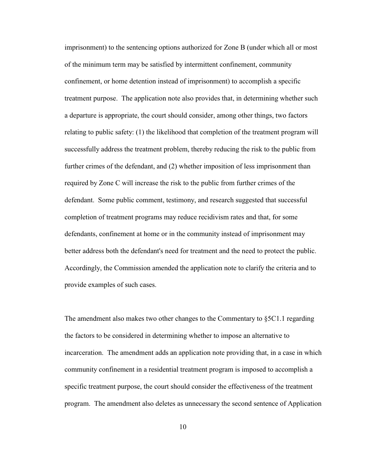imprisonment) to the sentencing options authorized for Zone B (under which all or most of the minimum term may be satisfied by intermittent confinement, community confinement, or home detention instead of imprisonment) to accomplish a specific treatment purpose. The application note also provides that, in determining whether such a departure is appropriate, the court should consider, among other things, two factors relating to public safety: (1) the likelihood that completion of the treatment program will successfully address the treatment problem, thereby reducing the risk to the public from further crimes of the defendant, and (2) whether imposition of less imprisonment than required by Zone C will increase the risk to the public from further crimes of the defendant. Some public comment, testimony, and research suggested that successful completion of treatment programs may reduce recidivism rates and that, for some defendants, confinement at home or in the community instead of imprisonment may better address both the defendant's need for treatment and the need to protect the public. Accordingly, the Commission amended the application note to clarify the criteria and to provide examples of such cases.

The amendment also makes two other changes to the Commentary to  $\S 5C1.1$  regarding the factors to be considered in determining whether to impose an alternative to incarceration. The amendment adds an application note providing that, in a case in which community confinement in a residential treatment program is imposed to accomplish a specific treatment purpose, the court should consider the effectiveness of the treatment program. The amendment also deletes as unnecessary the second sentence of Application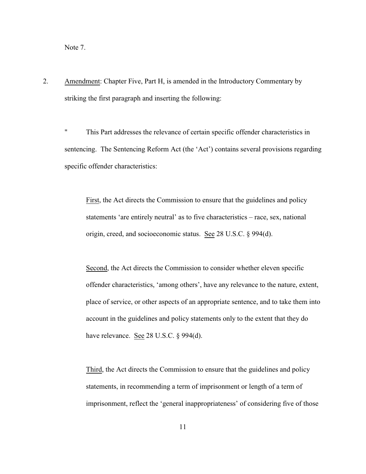Note 7.

2. Amendment: Chapter Five, Part H, is amended in the Introductory Commentary by striking the first paragraph and inserting the following:

" This Part addresses the relevance of certain specific offender characteristics in sentencing. The Sentencing Reform Act (the 'Act') contains several provisions regarding specific offender characteristics:

First, the Act directs the Commission to ensure that the guidelines and policy statements 'are entirely neutral' as to five characteristics – race, sex, national origin, creed, and socioeconomic status. See 28 U.S.C. § 994(d).

Second, the Act directs the Commission to consider whether eleven specific offender characteristics, 'among others', have any relevance to the nature, extent, place of service, or other aspects of an appropriate sentence, and to take them into account in the guidelines and policy statements only to the extent that they do have relevance. See 28 U.S.C. § 994(d).

Third, the Act directs the Commission to ensure that the guidelines and policy statements, in recommending a term of imprisonment or length of a term of imprisonment, reflect the 'general inappropriateness' of considering five of those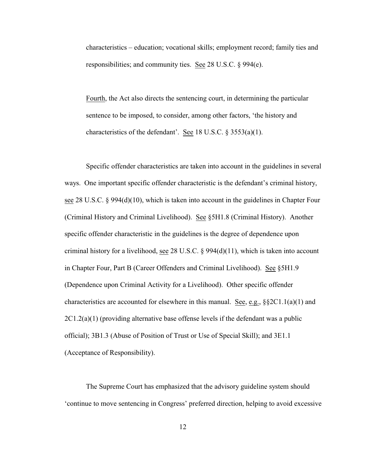characteristics – education; vocational skills; employment record; family ties and responsibilities; and community ties. See 28 U.S.C. § 994(e).

Fourth, the Act also directs the sentencing court, in determining the particular sentence to be imposed, to consider, among other factors, 'the history and characteristics of the defendant'. See 18 U.S.C. § 3553(a)(1).

Specific offender characteristics are taken into account in the guidelines in several ways. One important specific offender characteristic is the defendant's criminal history, see 28 U.S.C. § 994(d)(10), which is taken into account in the guidelines in Chapter Four (Criminal History and Criminal Livelihood). See §5H1.8 (Criminal History). Another specific offender characteristic in the guidelines is the degree of dependence upon criminal history for a livelihood, see 28 U.S.C.  $\S$  994(d)(11), which is taken into account in Chapter Four, Part B (Career Offenders and Criminal Livelihood). See §5H1.9 (Dependence upon Criminal Activity for a Livelihood). Other specific offender characteristics are accounted for elsewhere in this manual. See, e.g.,  $\S 2C1.1(a)(1)$  and  $2C1.2(a)(1)$  (providing alternative base offense levels if the defendant was a public official); 3B1.3 (Abuse of Position of Trust or Use of Special Skill); and 3E1.1 (Acceptance of Responsibility).

The Supreme Court has emphasized that the advisory guideline system should 'continue to move sentencing in Congress' preferred direction, helping to avoid excessive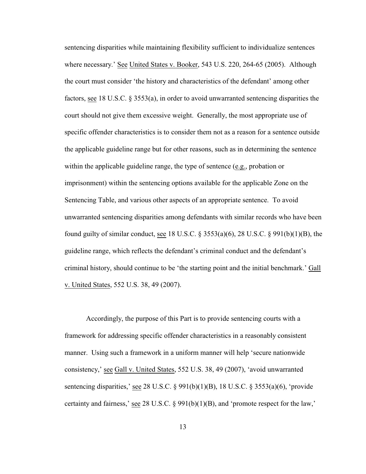sentencing disparities while maintaining flexibility sufficient to individualize sentences where necessary.' See United States v. Booker, 543 U.S. 220, 264-65 (2005). Although the court must consider 'the history and characteristics of the defendant' among other factors, see 18 U.S.C. § 3553(a), in order to avoid unwarranted sentencing disparities the court should not give them excessive weight. Generally, the most appropriate use of specific offender characteristics is to consider them not as a reason for a sentence outside the applicable guideline range but for other reasons, such as in determining the sentence within the applicable guideline range, the type of sentence (e.g., probation or imprisonment) within the sentencing options available for the applicable Zone on the Sentencing Table, and various other aspects of an appropriate sentence. To avoid unwarranted sentencing disparities among defendants with similar records who have been found guilty of similar conduct, see 18 U.S.C. § 3553(a)(6), 28 U.S.C. § 991(b)(1)(B), the guideline range, which reflects the defendant's criminal conduct and the defendant's criminal history, should continue to be 'the starting point and the initial benchmark.' Gall v. United States, 552 U.S. 38, 49 (2007).

Accordingly, the purpose of this Part is to provide sentencing courts with a framework for addressing specific offender characteristics in a reasonably consistent manner. Using such a framework in a uniform manner will help 'secure nationwide consistency,' see Gall v. United States, 552 U.S. 38, 49 (2007), 'avoid unwarranted sentencing disparities,' see 28 U.S.C. § 991(b)(1)(B), 18 U.S.C. § 3553(a)(6), 'provide certainty and fairness,' see 28 U.S.C. § 991(b)(1)(B), and 'promote respect for the law,'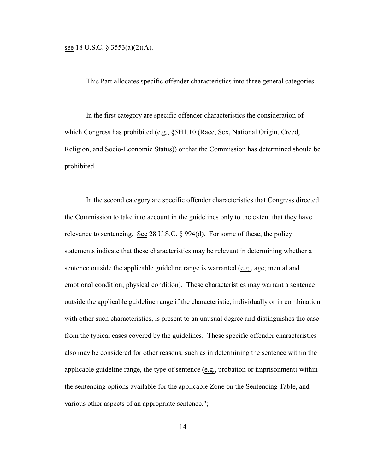see 18 U.S.C. § 3553(a)(2)(A).

This Part allocates specific offender characteristics into three general categories.

In the first category are specific offender characteristics the consideration of which Congress has prohibited (e.g., §5H1.10 (Race, Sex, National Origin, Creed, Religion, and Socio-Economic Status)) or that the Commission has determined should be prohibited.

In the second category are specific offender characteristics that Congress directed the Commission to take into account in the guidelines only to the extent that they have relevance to sentencing. See 28 U.S.C. § 994(d). For some of these, the policy statements indicate that these characteristics may be relevant in determining whether a sentence outside the applicable guideline range is warranted (e.g., age; mental and emotional condition; physical condition). These characteristics may warrant a sentence outside the applicable guideline range if the characteristic, individually or in combination with other such characteristics, is present to an unusual degree and distinguishes the case from the typical cases covered by the guidelines. These specific offender characteristics also may be considered for other reasons, such as in determining the sentence within the applicable guideline range, the type of sentence (e.g., probation or imprisonment) within the sentencing options available for the applicable Zone on the Sentencing Table, and various other aspects of an appropriate sentence.";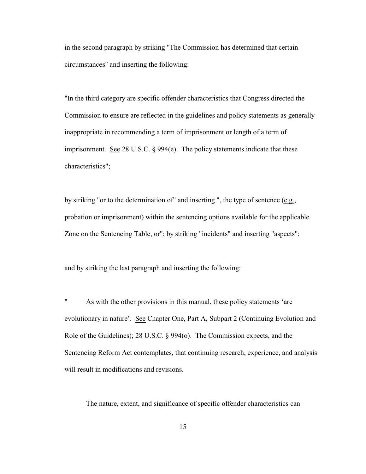in the second paragraph by striking "The Commission has determined that certain circumstances" and inserting the following:

"In the third category are specific offender characteristics that Congress directed the Commission to ensure are reflected in the guidelines and policy statements as generally inappropriate in recommending a term of imprisonment or length of a term of imprisonment. See 28 U.S.C. § 994(e). The policy statements indicate that these characteristics";

by striking "or to the determination of" and inserting ", the type of sentence (e.g., probation or imprisonment) within the sentencing options available for the applicable Zone on the Sentencing Table, or"; by striking "incidents" and inserting "aspects";

and by striking the last paragraph and inserting the following:

" As with the other provisions in this manual, these policy statements 'are evolutionary in nature'. See Chapter One, Part A, Subpart 2 (Continuing Evolution and Role of the Guidelines); 28 U.S.C. § 994(o). The Commission expects, and the Sentencing Reform Act contemplates, that continuing research, experience, and analysis will result in modifications and revisions.

The nature, extent, and significance of specific offender characteristics can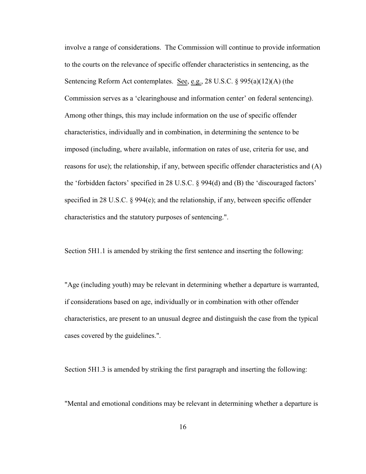involve a range of considerations. The Commission will continue to provide information to the courts on the relevance of specific offender characteristics in sentencing, as the Sentencing Reform Act contemplates. See, e.g., 28 U.S.C.  $\S 995(a)(12)(A)$  (the Commission serves as a 'clearinghouse and information center' on federal sentencing). Among other things, this may include information on the use of specific offender characteristics, individually and in combination, in determining the sentence to be imposed (including, where available, information on rates of use, criteria for use, and reasons for use); the relationship, if any, between specific offender characteristics and (A) the 'forbidden factors' specified in 28 U.S.C. § 994(d) and (B) the 'discouraged factors' specified in 28 U.S.C. § 994(e); and the relationship, if any, between specific offender characteristics and the statutory purposes of sentencing.".

Section 5H1.1 is amended by striking the first sentence and inserting the following:

"Age (including youth) may be relevant in determining whether a departure is warranted, if considerations based on age, individually or in combination with other offender characteristics, are present to an unusual degree and distinguish the case from the typical cases covered by the guidelines.".

Section 5H1.3 is amended by striking the first paragraph and inserting the following:

"Mental and emotional conditions may be relevant in determining whether a departure is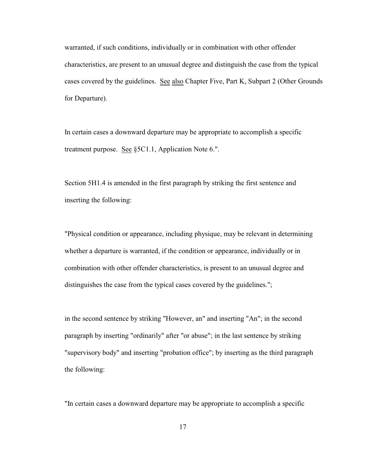warranted, if such conditions, individually or in combination with other offender characteristics, are present to an unusual degree and distinguish the case from the typical cases covered by the guidelines. See also Chapter Five, Part K, Subpart 2 (Other Grounds for Departure).

In certain cases a downward departure may be appropriate to accomplish a specific treatment purpose. See §5C1.1, Application Note 6.".

Section 5H1.4 is amended in the first paragraph by striking the first sentence and inserting the following:

"Physical condition or appearance, including physique, may be relevant in determining whether a departure is warranted, if the condition or appearance, individually or in combination with other offender characteristics, is present to an unusual degree and distinguishes the case from the typical cases covered by the guidelines.";

in the second sentence by striking "However, an" and inserting "An"; in the second paragraph by inserting "ordinarily" after "or abuse"; in the last sentence by striking "supervisory body" and inserting "probation office"; by inserting as the third paragraph the following:

"In certain cases a downward departure may be appropriate to accomplish a specific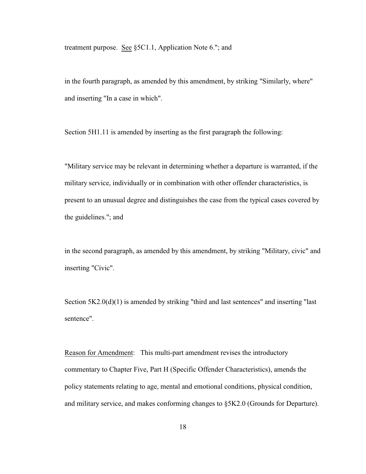treatment purpose. See §5C1.1, Application Note 6."; and

in the fourth paragraph, as amended by this amendment, by striking "Similarly, where" and inserting "In a case in which".

Section 5H1.11 is amended by inserting as the first paragraph the following:

"Military service may be relevant in determining whether a departure is warranted, if the military service, individually or in combination with other offender characteristics, is present to an unusual degree and distinguishes the case from the typical cases covered by the guidelines."; and

in the second paragraph, as amended by this amendment, by striking "Military, civic" and inserting "Civic".

Section  $5K2.0(d)(1)$  is amended by striking "third and last sentences" and inserting "last sentence".

Reason for Amendment: This multi-part amendment revises the introductory commentary to Chapter Five, Part H (Specific Offender Characteristics), amends the policy statements relating to age, mental and emotional conditions, physical condition, and military service, and makes conforming changes to §5K2.0 (Grounds for Departure).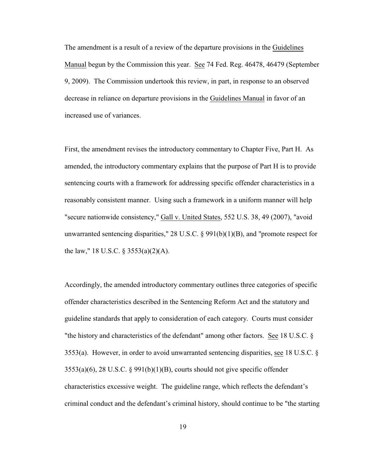The amendment is a result of a review of the departure provisions in the Guidelines Manual begun by the Commission this year. See 74 Fed. Reg. 46478, 46479 (September 9, 2009). The Commission undertook this review, in part, in response to an observed decrease in reliance on departure provisions in the Guidelines Manual in favor of an increased use of variances.

First, the amendment revises the introductory commentary to Chapter Five, Part H. As amended, the introductory commentary explains that the purpose of Part H is to provide sentencing courts with a framework for addressing specific offender characteristics in a reasonably consistent manner. Using such a framework in a uniform manner will help "secure nationwide consistency," Gall v. United States, 552 U.S. 38, 49 (2007), "avoid unwarranted sentencing disparities," 28 U.S.C. § 991(b)(1)(B), and "promote respect for the law," 18 U.S.C.  $\S$  3553(a)(2)(A).

Accordingly, the amended introductory commentary outlines three categories of specific offender characteristics described in the Sentencing Reform Act and the statutory and guideline standards that apply to consideration of each category. Courts must consider "the history and characteristics of the defendant" among other factors. See 18 U.S.C. § 3553(a). However, in order to avoid unwarranted sentencing disparities, see 18 U.S.C. §  $3553(a)(6)$ , 28 U.S.C. § 991(b)(1)(B), courts should not give specific offender characteristics excessive weight. The guideline range, which reflects the defendant's criminal conduct and the defendant's criminal history, should continue to be "the starting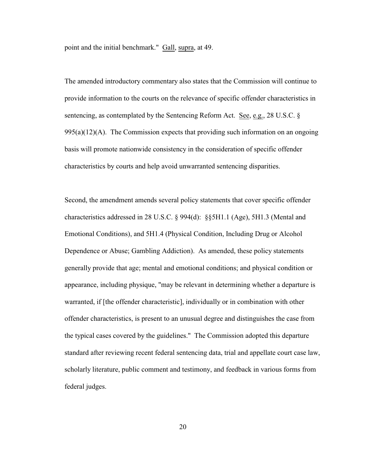point and the initial benchmark." Gall, supra, at 49.

The amended introductory commentary also states that the Commission will continue to provide information to the courts on the relevance of specific offender characteristics in sentencing, as contemplated by the Sentencing Reform Act. See, e.g., 28 U.S.C. §  $995(a)(12)(A)$ . The Commission expects that providing such information on an ongoing basis will promote nationwide consistency in the consideration of specific offender characteristics by courts and help avoid unwarranted sentencing disparities.

Second, the amendment amends several policy statements that cover specific offender characteristics addressed in 28 U.S.C. § 994(d): §§5H1.1 (Age), 5H1.3 (Mental and Emotional Conditions), and 5H1.4 (Physical Condition, Including Drug or Alcohol Dependence or Abuse; Gambling Addiction). As amended, these policy statements generally provide that age; mental and emotional conditions; and physical condition or appearance, including physique, "may be relevant in determining whether a departure is warranted, if [the offender characteristic], individually or in combination with other offender characteristics, is present to an unusual degree and distinguishes the case from the typical cases covered by the guidelines." The Commission adopted this departure standard after reviewing recent federal sentencing data, trial and appellate court case law, scholarly literature, public comment and testimony, and feedback in various forms from federal judges.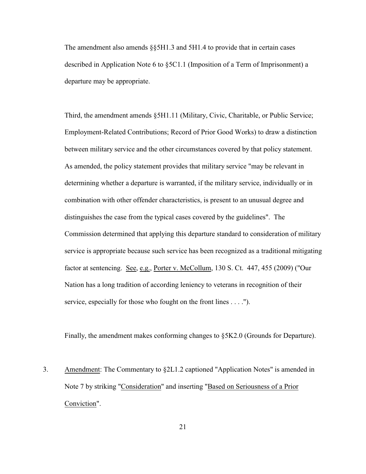The amendment also amends  $\S$ §5H1.3 and 5H1.4 to provide that in certain cases described in Application Note 6 to §5C1.1 (Imposition of a Term of Imprisonment) a departure may be appropriate.

Third, the amendment amends §5H1.11 (Military, Civic, Charitable, or Public Service; Employment-Related Contributions; Record of Prior Good Works) to draw a distinction between military service and the other circumstances covered by that policy statement. As amended, the policy statement provides that military service "may be relevant in determining whether a departure is warranted, if the military service, individually or in combination with other offender characteristics, is present to an unusual degree and distinguishes the case from the typical cases covered by the guidelines". The Commission determined that applying this departure standard to consideration of military service is appropriate because such service has been recognized as a traditional mitigating factor at sentencing. See, e.g., Porter v. McCollum, 130 S. Ct. 447, 455 (2009) ("Our Nation has a long tradition of according leniency to veterans in recognition of their service, especially for those who fought on the front lines . . . .").

Finally, the amendment makes conforming changes to §5K2.0 (Grounds for Departure).

3. Amendment: The Commentary to §2L1.2 captioned "Application Notes" is amended in Note 7 by striking "Consideration" and inserting "Based on Seriousness of a Prior Conviction".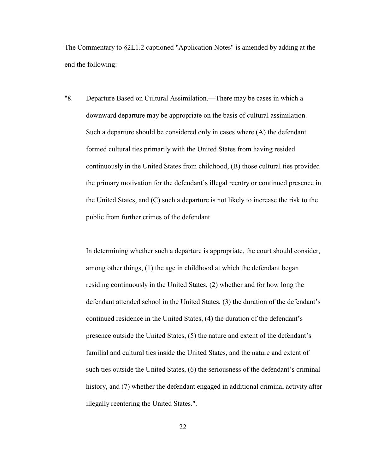The Commentary to §2L1.2 captioned "Application Notes" is amended by adding at the end the following:

"8. Departure Based on Cultural Assimilation.—There may be cases in which a downward departure may be appropriate on the basis of cultural assimilation. Such a departure should be considered only in cases where (A) the defendant formed cultural ties primarily with the United States from having resided continuously in the United States from childhood, (B) those cultural ties provided the primary motivation for the defendant's illegal reentry or continued presence in the United States, and (C) such a departure is not likely to increase the risk to the public from further crimes of the defendant.

In determining whether such a departure is appropriate, the court should consider, among other things, (1) the age in childhood at which the defendant began residing continuously in the United States, (2) whether and for how long the defendant attended school in the United States, (3) the duration of the defendant's continued residence in the United States, (4) the duration of the defendant's presence outside the United States, (5) the nature and extent of the defendant's familial and cultural ties inside the United States, and the nature and extent of such ties outside the United States, (6) the seriousness of the defendant's criminal history, and (7) whether the defendant engaged in additional criminal activity after illegally reentering the United States.".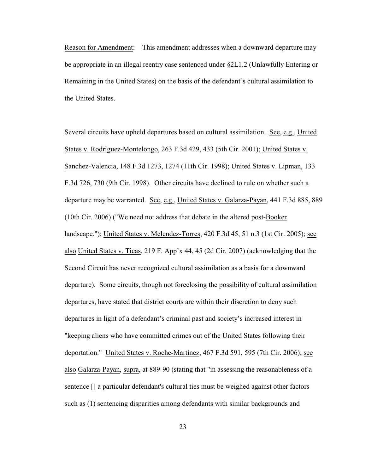Reason for Amendment: This amendment addresses when a downward departure may be appropriate in an illegal reentry case sentenced under §2L1.2 (Unlawfully Entering or Remaining in the United States) on the basis of the defendant's cultural assimilation to the United States.

Several circuits have upheld departures based on cultural assimilation. See, e.g., United States v. Rodriguez-Montelongo, 263 F.3d 429, 433 (5th Cir. 2001); United States v. Sanchez-Valencia, 148 F.3d 1273, 1274 (11th Cir. 1998); United States v. Lipman, 133 F.3d 726, 730 (9th Cir. 1998). Other circuits have declined to rule on whether such a departure may be warranted. See, e.g., United States v. Galarza-Payan, 441 F.3d 885, 889 (10th Cir. 2006) ("We need not address that debate in the altered post-Booker landscape."); United States v. Melendez-Torres, 420 F.3d 45, 51 n.3 (1st Cir. 2005); see also United States v. Ticas, 219 F. App'x 44, 45 (2d Cir. 2007) (acknowledging that the Second Circuit has never recognized cultural assimilation as a basis for a downward departure). Some circuits, though not foreclosing the possibility of cultural assimilation departures, have stated that district courts are within their discretion to deny such departures in light of a defendant's criminal past and society's increased interest in "keeping aliens who have committed crimes out of the United States following their deportation." United States v. Roche-Martinez, 467 F.3d 591, 595 (7th Cir. 2006); see also Galarza-Payan, supra, at 889-90 (stating that "in assessing the reasonableness of a sentence  $\Box$  a particular defendant's cultural ties must be weighed against other factors such as (1) sentencing disparities among defendants with similar backgrounds and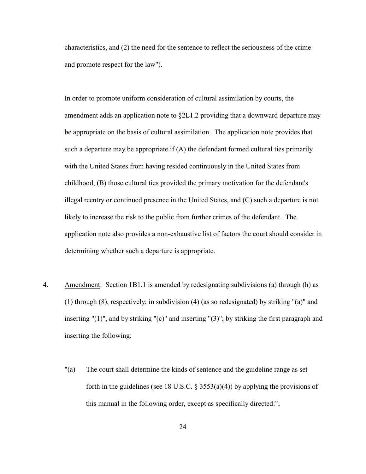characteristics, and (2) the need for the sentence to reflect the seriousness of the crime and promote respect for the law").

In order to promote uniform consideration of cultural assimilation by courts, the amendment adds an application note to §2L1.2 providing that a downward departure may be appropriate on the basis of cultural assimilation. The application note provides that such a departure may be appropriate if (A) the defendant formed cultural ties primarily with the United States from having resided continuously in the United States from childhood, (B) those cultural ties provided the primary motivation for the defendant's illegal reentry or continued presence in the United States, and (C) such a departure is not likely to increase the risk to the public from further crimes of the defendant. The application note also provides a non-exhaustive list of factors the court should consider in determining whether such a departure is appropriate.

- 4. Amendment: Section 1B1.1 is amended by redesignating subdivisions (a) through (h) as (1) through (8), respectively; in subdivision (4) (as so redesignated) by striking "(a)" and inserting "(1)", and by striking "(c)" and inserting "(3)"; by striking the first paragraph and inserting the following:
	- "(a) The court shall determine the kinds of sentence and the guideline range as set forth in the guidelines (see 18 U.S.C.  $\S 3553(a)(4)$ ) by applying the provisions of this manual in the following order, except as specifically directed:";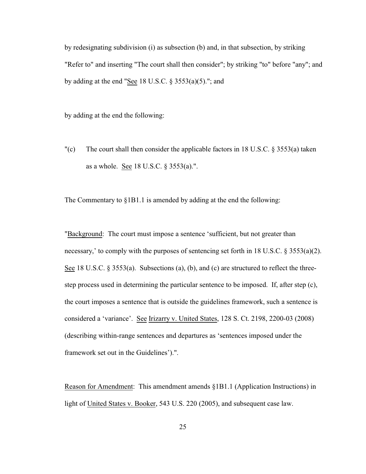by redesignating subdivision (i) as subsection (b) and, in that subsection, by striking "Refer to" and inserting "The court shall then consider"; by striking "to" before "any"; and by adding at the end "See 18 U.S.C.  $\S$  3553(a)(5)."; and

by adding at the end the following:

"(c) The court shall then consider the applicable factors in 18 U.S.C.  $\S$  3553(a) taken as a whole. See 18 U.S.C. § 3553(a).".

The Commentary to §1B1.1 is amended by adding at the end the following:

"Background: The court must impose a sentence 'sufficient, but not greater than necessary,' to comply with the purposes of sentencing set forth in 18 U.S.C.  $\S 3553(a)(2)$ . See 18 U.S.C.  $\S 3553(a)$ . Subsections (a), (b), and (c) are structured to reflect the threestep process used in determining the particular sentence to be imposed. If, after step (c), the court imposes a sentence that is outside the guidelines framework, such a sentence is considered a 'variance'. See Irizarry v. United States, 128 S. Ct. 2198, 2200-03 (2008) (describing within-range sentences and departures as 'sentences imposed under the framework set out in the Guidelines').".

Reason for Amendment: This amendment amends §1B1.1 (Application Instructions) in light of United States v. Booker, 543 U.S. 220 (2005), and subsequent case law.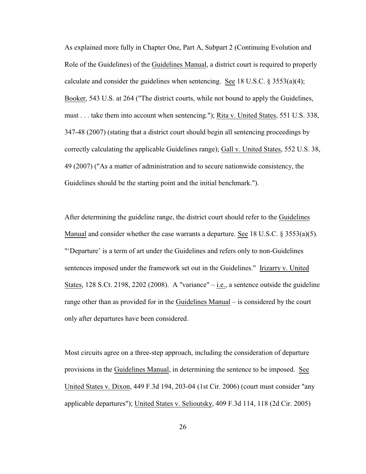As explained more fully in Chapter One, Part A, Subpart 2 (Continuing Evolution and Role of the Guidelines) of the Guidelines Manual, a district court is required to properly calculate and consider the guidelines when sentencing. See 18 U.S.C.  $\S 3553(a)(4)$ ; Booker, 543 U.S. at 264 ("The district courts, while not bound to apply the Guidelines, must . . . take them into account when sentencing."); Rita v. United States, 551 U.S. 338, 347-48 (2007) (stating that a district court should begin all sentencing proceedings by correctly calculating the applicable Guidelines range); Gall v. United States, 552 U.S. 38, 49 (2007) ("As a matter of administration and to secure nationwide consistency, the Guidelines should be the starting point and the initial benchmark.").

After determining the guideline range, the district court should refer to the Guidelines Manual and consider whether the case warrants a departure. See 18 U.S.C. § 3553(a)(5). "'Departure' is a term of art under the Guidelines and refers only to non-Guidelines sentences imposed under the framework set out in the Guidelines." Irizarry v. United States, 128 S.Ct. 2198, 2202 (2008). A "variance" – i.e., a sentence outside the guideline range other than as provided for in the Guidelines Manual – is considered by the court only after departures have been considered.

Most circuits agree on a three-step approach, including the consideration of departure provisions in the Guidelines Manual, in determining the sentence to be imposed. See United States v. Dixon, 449 F.3d 194, 203-04 (1st Cir. 2006) (court must consider "any applicable departures"); United States v. Selioutsky, 409 F.3d 114, 118 (2d Cir. 2005)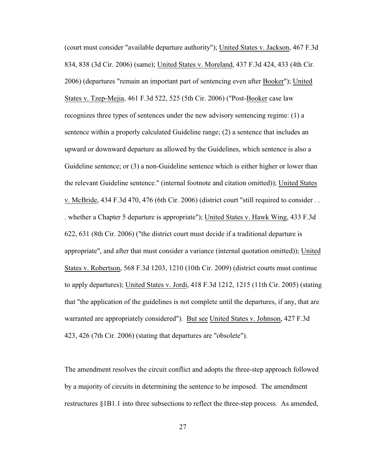(court must consider "available departure authority"); United States v. Jackson, 467 F.3d 834, 838 (3d Cir. 2006) (same); United States v. Moreland, 437 F.3d 424, 433 (4th Cir. 2006) (departures "remain an important part of sentencing even after Booker"); United States v. Tzep-Mejia, 461 F.3d 522, 525 (5th Cir. 2006) ("Post-Booker case law recognizes three types of sentences under the new advisory sentencing regime: (1) a sentence within a properly calculated Guideline range; (2) a sentence that includes an upward or downward departure as allowed by the Guidelines, which sentence is also a Guideline sentence; or (3) a non-Guideline sentence which is either higher or lower than the relevant Guideline sentence." (internal footnote and citation omitted)); United States v. McBride, 434 F.3d 470, 476 (6th Cir. 2006) (district court "still required to consider . . . whether a Chapter 5 departure is appropriate"); United States v. Hawk Wing, 433 F.3d 622, 631 (8th Cir. 2006) ("the district court must decide if a traditional departure is appropriate", and after that must consider a variance (internal quotation omitted)); United States v. Robertson, 568 F.3d 1203, 1210 (10th Cir. 2009) (district courts must continue to apply departures); United States v. Jordi, 418 F.3d 1212, 1215 (11th Cir. 2005) (stating that "the application of the guidelines is not complete until the departures, if any, that are warranted are appropriately considered"). But see United States v. Johnson, 427 F.3d 423, 426 (7th Cir. 2006) (stating that departures are "obsolete").

The amendment resolves the circuit conflict and adopts the three-step approach followed by a majority of circuits in determining the sentence to be imposed. The amendment restructures §1B1.1 into three subsections to reflect the three-step process. As amended,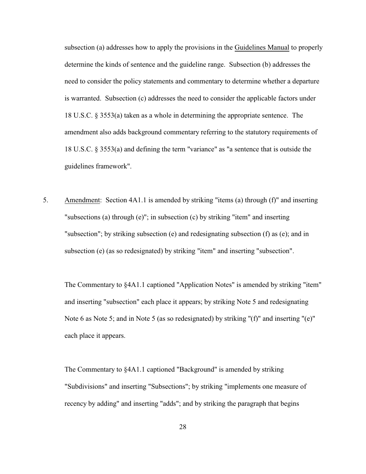subsection (a) addresses how to apply the provisions in the Guidelines Manual to properly determine the kinds of sentence and the guideline range. Subsection (b) addresses the need to consider the policy statements and commentary to determine whether a departure is warranted. Subsection (c) addresses the need to consider the applicable factors under 18 U.S.C. § 3553(a) taken as a whole in determining the appropriate sentence. The amendment also adds background commentary referring to the statutory requirements of 18 U.S.C. § 3553(a) and defining the term "variance" as "a sentence that is outside the guidelines framework".

5. Amendment: Section 4A1.1 is amended by striking "items (a) through (f)" and inserting "subsections (a) through (e)"; in subsection (c) by striking "item" and inserting "subsection"; by striking subsection (e) and redesignating subsection (f) as (e); and in subsection (e) (as so redesignated) by striking "item" and inserting "subsection".

The Commentary to §4A1.1 captioned "Application Notes" is amended by striking "item" and inserting "subsection" each place it appears; by striking Note 5 and redesignating Note 6 as Note 5; and in Note 5 (as so redesignated) by striking "(f)" and inserting "(e)" each place it appears.

The Commentary to §4A1.1 captioned "Background" is amended by striking "Subdivisions" and inserting "Subsections"; by striking "implements one measure of recency by adding" and inserting "adds"; and by striking the paragraph that begins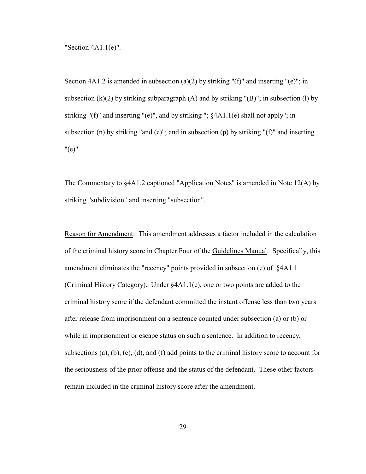"Section 4A1.1(e)".

Section 4A1.2 is amended in subsection (a)(2) by striking "(f)" and inserting "(e)"; in subsection  $(k)(2)$  by striking subparagraph  $(A)$  and by striking " $(B)$ "; in subsection  $(l)$  by striking "(f)" and inserting "(e)", and by striking "; §4A1.1(e) shall not apply"; in subsection (n) by striking "and (e)"; and in subsection (p) by striking "(f)" and inserting "(e)".

The Commentary to §4A1.2 captioned "Application Notes" is amended in Note 12(A) by striking "subdivision" and inserting "subsection".

Reason for Amendment: This amendment addresses a factor included in the calculation of the criminal history score in Chapter Four of the Guidelines Manual. Specifically, this amendment eliminates the "recency" points provided in subsection (e) of §4A1.1 (Criminal History Category). Under §4A1.1(e), one or two points are added to the criminal history score if the defendant committed the instant offense less than two years after release from imprisonment on a sentence counted under subsection (a) or (b) or while in imprisonment or escape status on such a sentence. In addition to recency, subsections (a), (b), (c), (d), and (f) add points to the criminal history score to account for the seriousness of the prior offense and the status of the defendant. These other factors remain included in the criminal history score after the amendment.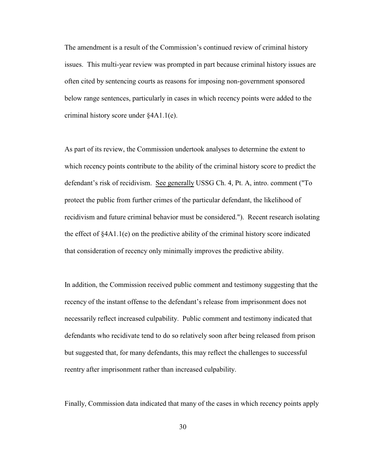The amendment is a result of the Commission's continued review of criminal history issues. This multi-year review was prompted in part because criminal history issues are often cited by sentencing courts as reasons for imposing non-government sponsored below range sentences, particularly in cases in which recency points were added to the criminal history score under §4A1.1(e).

As part of its review, the Commission undertook analyses to determine the extent to which recency points contribute to the ability of the criminal history score to predict the defendant's risk of recidivism. See generally USSG Ch. 4, Pt. A, intro. comment ("To protect the public from further crimes of the particular defendant, the likelihood of recidivism and future criminal behavior must be considered."). Recent research isolating the effect of §4A1.1(e) on the predictive ability of the criminal history score indicated that consideration of recency only minimally improves the predictive ability.

In addition, the Commission received public comment and testimony suggesting that the recency of the instant offense to the defendant's release from imprisonment does not necessarily reflect increased culpability. Public comment and testimony indicated that defendants who recidivate tend to do so relatively soon after being released from prison but suggested that, for many defendants, this may reflect the challenges to successful reentry after imprisonment rather than increased culpability.

Finally, Commission data indicated that many of the cases in which recency points apply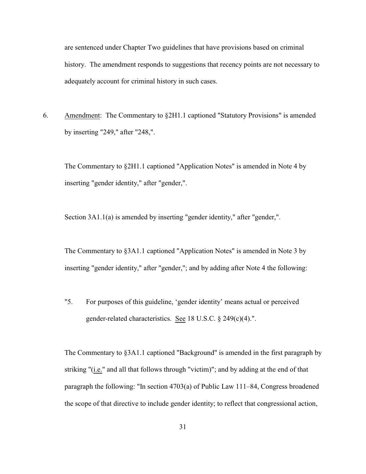are sentenced under Chapter Two guidelines that have provisions based on criminal history. The amendment responds to suggestions that recency points are not necessary to adequately account for criminal history in such cases.

6. Amendment: The Commentary to §2H1.1 captioned "Statutory Provisions" is amended by inserting "249," after "248,".

The Commentary to §2H1.1 captioned "Application Notes" is amended in Note 4 by inserting "gender identity," after "gender,".

Section 3A1.1(a) is amended by inserting "gender identity," after "gender,".

The Commentary to §3A1.1 captioned "Application Notes" is amended in Note 3 by inserting "gender identity," after "gender,"; and by adding after Note 4 the following:

"5. For purposes of this guideline, 'gender identity' means actual or perceived gender-related characteristics. See 18 U.S.C. § 249(c)(4).".

The Commentary to §3A1.1 captioned "Background" is amended in the first paragraph by striking "(i.e." and all that follows through "victim)"; and by adding at the end of that paragraph the following: "In section 4703(a) of Public Law 111–84, Congress broadened the scope of that directive to include gender identity; to reflect that congressional action,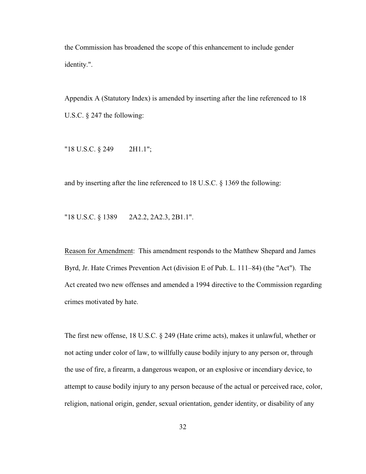the Commission has broadened the scope of this enhancement to include gender identity.".

Appendix A (Statutory Index) is amended by inserting after the line referenced to 18 U.S.C. § 247 the following:

"18 U.S.C. § 249 2H1.1";

and by inserting after the line referenced to 18 U.S.C. § 1369 the following:

"18 U.S.C. § 1389 2A2.2, 2A2.3, 2B1.1".

Reason for Amendment: This amendment responds to the Matthew Shepard and James Byrd, Jr. Hate Crimes Prevention Act (division E of Pub. L. 111–84) (the "Act"). The Act created two new offenses and amended a 1994 directive to the Commission regarding crimes motivated by hate.

The first new offense, 18 U.S.C. § 249 (Hate crime acts), makes it unlawful, whether or not acting under color of law, to willfully cause bodily injury to any person or, through the use of fire, a firearm, a dangerous weapon, or an explosive or incendiary device, to attempt to cause bodily injury to any person because of the actual or perceived race, color, religion, national origin, gender, sexual orientation, gender identity, or disability of any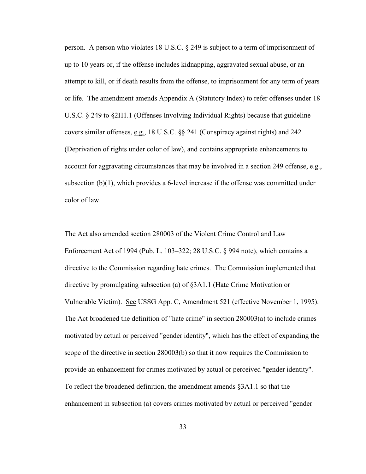person. A person who violates 18 U.S.C. § 249 is subject to a term of imprisonment of up to 10 years or, if the offense includes kidnapping, aggravated sexual abuse, or an attempt to kill, or if death results from the offense, to imprisonment for any term of years or life. The amendment amends Appendix A (Statutory Index) to refer offenses under 18 U.S.C. § 249 to §2H1.1 (Offenses Involving Individual Rights) because that guideline covers similar offenses, e.g., 18 U.S.C. §§ 241 (Conspiracy against rights) and 242 (Deprivation of rights under color of law), and contains appropriate enhancements to account for aggravating circumstances that may be involved in a section 249 offense, e.g., subsection (b)(1), which provides a 6-level increase if the offense was committed under color of law.

The Act also amended section 280003 of the Violent Crime Control and Law Enforcement Act of 1994 (Pub. L. 103–322; 28 U.S.C.  $\S$  994 note), which contains a directive to the Commission regarding hate crimes. The Commission implemented that directive by promulgating subsection (a) of §3A1.1 (Hate Crime Motivation or Vulnerable Victim). See USSG App. C, Amendment 521 (effective November 1, 1995). The Act broadened the definition of "hate crime" in section 280003(a) to include crimes motivated by actual or perceived "gender identity", which has the effect of expanding the scope of the directive in section 280003(b) so that it now requires the Commission to provide an enhancement for crimes motivated by actual or perceived "gender identity". To reflect the broadened definition, the amendment amends §3A1.1 so that the enhancement in subsection (a) covers crimes motivated by actual or perceived "gender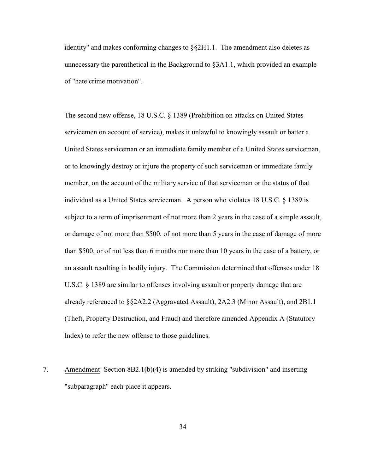identity" and makes conforming changes to  $\S 2H1.1$ . The amendment also deletes as unnecessary the parenthetical in the Background to §3A1.1, which provided an example of "hate crime motivation".

The second new offense, 18 U.S.C. § 1389 (Prohibition on attacks on United States servicemen on account of service), makes it unlawful to knowingly assault or batter a United States serviceman or an immediate family member of a United States serviceman, or to knowingly destroy or injure the property of such serviceman or immediate family member, on the account of the military service of that serviceman or the status of that individual as a United States serviceman. A person who violates 18 U.S.C. § 1389 is subject to a term of imprisonment of not more than 2 years in the case of a simple assault, or damage of not more than \$500, of not more than 5 years in the case of damage of more than \$500, or of not less than 6 months nor more than 10 years in the case of a battery, or an assault resulting in bodily injury. The Commission determined that offenses under 18 U.S.C. § 1389 are similar to offenses involving assault or property damage that are already referenced to §§2A2.2 (Aggravated Assault), 2A2.3 (Minor Assault), and 2B1.1 (Theft, Property Destruction, and Fraud) and therefore amended Appendix A (Statutory Index) to refer the new offense to those guidelines.

7. Amendment: Section 8B2.1(b)(4) is amended by striking "subdivision" and inserting "subparagraph" each place it appears.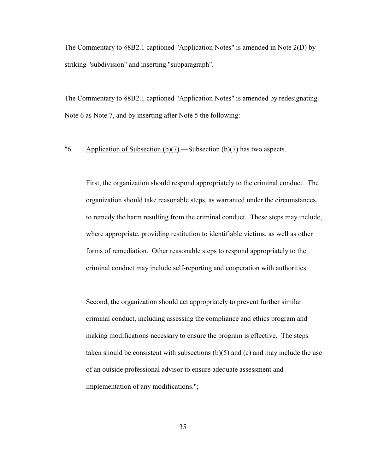The Commentary to §8B2.1 captioned "Application Notes" is amended in Note 2(D) by striking "subdivision" and inserting "subparagraph".

The Commentary to §8B2.1 captioned "Application Notes" is amended by redesignating Note 6 as Note 7, and by inserting after Note 5 the following:

"6. Application of Subsection (b)(7).—Subsection (b)(7) has two aspects.

First, the organization should respond appropriately to the criminal conduct. The organization should take reasonable steps, as warranted under the circumstances, to remedy the harm resulting from the criminal conduct. These steps may include, where appropriate, providing restitution to identifiable victims, as well as other forms of remediation. Other reasonable steps to respond appropriately to the criminal conduct may include self-reporting and cooperation with authorities.

Second, the organization should act appropriately to prevent further similar criminal conduct, including assessing the compliance and ethics program and making modifications necessary to ensure the program is effective. The steps taken should be consistent with subsections  $(b)(5)$  and  $(c)$  and may include the use of an outside professional advisor to ensure adequate assessment and implementation of any modifications.";

35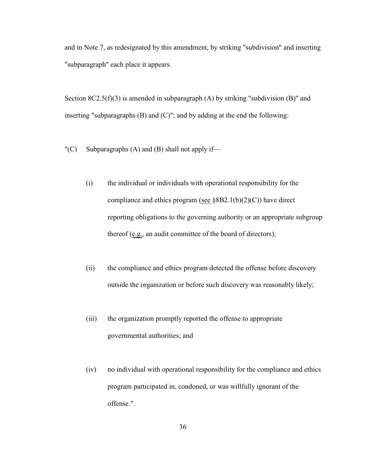and in Note 7, as redesignated by this amendment, by striking "subdivision" and inserting "subparagraph" each place it appears.

Section  $8C2.5(f)(3)$  is amended in subparagraph (A) by striking "subdivision (B)" and inserting "subparagraphs  $(B)$  and  $(C)$ "; and by adding at the end the following:

- "(C) Subparagraphs (A) and (B) shall not apply if—
	- (i) the individual or individuals with operational responsibility for the compliance and ethics program (see  $\S 8B2.1(b)(2)(C)$ ) have direct reporting obligations to the governing authority or an appropriate subgroup thereof (e.g., an audit committee of the board of directors);
	- (ii) the compliance and ethics program detected the offense before discovery outside the organization or before such discovery was reasonably likely;
	- (iii) the organization promptly reported the offense to appropriate governmental authorities; and
	- (iv) no individual with operational responsibility for the compliance and ethics program participated in, condoned, or was willfully ignorant of the offense.".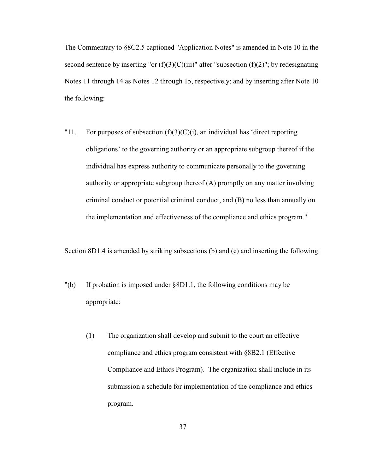The Commentary to §8C2.5 captioned "Application Notes" is amended in Note 10 in the second sentence by inserting "or  $(f)(3)(C)(iii)$ " after "subsection  $(f)(2)$ "; by redesignating Notes 11 through 14 as Notes 12 through 15, respectively; and by inserting after Note 10 the following:

"11. For purposes of subsection  $(f)(3)(C)(i)$ , an individual has 'direct reporting obligations' to the governing authority or an appropriate subgroup thereof if the individual has express authority to communicate personally to the governing authority or appropriate subgroup thereof (A) promptly on any matter involving criminal conduct or potential criminal conduct, and (B) no less than annually on the implementation and effectiveness of the compliance and ethics program.".

Section 8D1.4 is amended by striking subsections (b) and (c) and inserting the following:

- "(b) If probation is imposed under §8D1.1, the following conditions may be appropriate:
	- (1) The organization shall develop and submit to the court an effective compliance and ethics program consistent with §8B2.1 (Effective Compliance and Ethics Program). The organization shall include in its submission a schedule for implementation of the compliance and ethics program.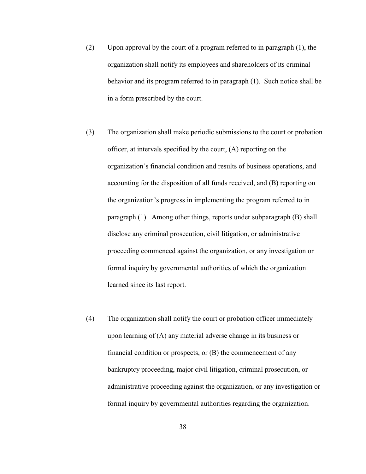- (2) Upon approval by the court of a program referred to in paragraph (1), the organization shall notify its employees and shareholders of its criminal behavior and its program referred to in paragraph (1). Such notice shall be in a form prescribed by the court.
- (3) The organization shall make periodic submissions to the court or probation officer, at intervals specified by the court, (A) reporting on the organization's financial condition and results of business operations, and accounting for the disposition of all funds received, and (B) reporting on the organization's progress in implementing the program referred to in paragraph (1). Among other things, reports under subparagraph (B) shall disclose any criminal prosecution, civil litigation, or administrative proceeding commenced against the organization, or any investigation or formal inquiry by governmental authorities of which the organization learned since its last report.
- (4) The organization shall notify the court or probation officer immediately upon learning of (A) any material adverse change in its business or financial condition or prospects, or (B) the commencement of any bankruptcy proceeding, major civil litigation, criminal prosecution, or administrative proceeding against the organization, or any investigation or formal inquiry by governmental authorities regarding the organization.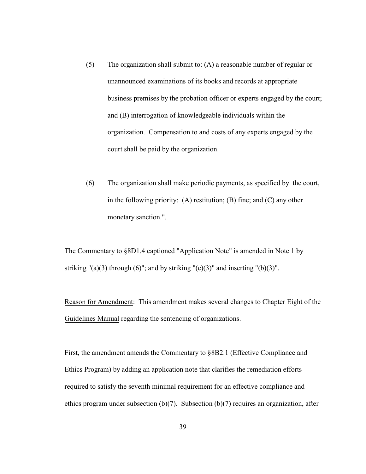- (5) The organization shall submit to: (A) a reasonable number of regular or unannounced examinations of its books and records at appropriate business premises by the probation officer or experts engaged by the court; and (B) interrogation of knowledgeable individuals within the organization. Compensation to and costs of any experts engaged by the court shall be paid by the organization.
- (6) The organization shall make periodic payments, as specified by the court, in the following priority: (A) restitution; (B) fine; and (C) any other monetary sanction.".

The Commentary to §8D1.4 captioned "Application Note" is amended in Note 1 by striking  $"(\alpha)(3)$  through (6)"; and by striking  $"(\alpha)(3)"$  and inserting  $"(\alpha)(3)"$ .

Reason for Amendment: This amendment makes several changes to Chapter Eight of the Guidelines Manual regarding the sentencing of organizations.

First, the amendment amends the Commentary to §8B2.1 (Effective Compliance and Ethics Program) by adding an application note that clarifies the remediation efforts required to satisfy the seventh minimal requirement for an effective compliance and ethics program under subsection (b)(7). Subsection (b)(7) requires an organization, after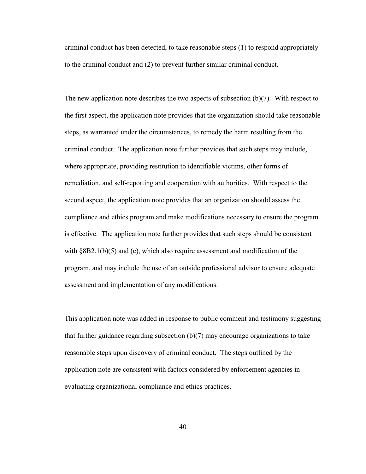criminal conduct has been detected, to take reasonable steps (1) to respond appropriately to the criminal conduct and (2) to prevent further similar criminal conduct.

The new application note describes the two aspects of subsection (b)(7). With respect to the first aspect, the application note provides that the organization should take reasonable steps, as warranted under the circumstances, to remedy the harm resulting from the criminal conduct. The application note further provides that such steps may include, where appropriate, providing restitution to identifiable victims, other forms of remediation, and self-reporting and cooperation with authorities. With respect to the second aspect, the application note provides that an organization should assess the compliance and ethics program and make modifications necessary to ensure the program is effective. The application note further provides that such steps should be consistent with  $\S 8B2.1(b)(5)$  and (c), which also require assessment and modification of the program, and may include the use of an outside professional advisor to ensure adequate assessment and implementation of any modifications.

This application note was added in response to public comment and testimony suggesting that further guidance regarding subsection (b)(7) may encourage organizations to take reasonable steps upon discovery of criminal conduct. The steps outlined by the application note are consistent with factors considered by enforcement agencies in evaluating organizational compliance and ethics practices.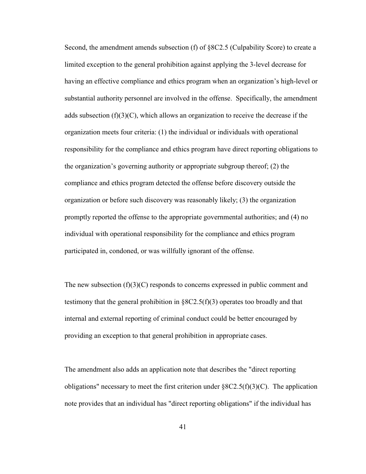Second, the amendment amends subsection (f) of §8C2.5 (Culpability Score) to create a limited exception to the general prohibition against applying the 3-level decrease for having an effective compliance and ethics program when an organization's high-level or substantial authority personnel are involved in the offense. Specifically, the amendment adds subsection  $(f)(3)(C)$ , which allows an organization to receive the decrease if the organization meets four criteria: (1) the individual or individuals with operational responsibility for the compliance and ethics program have direct reporting obligations to the organization's governing authority or appropriate subgroup thereof; (2) the compliance and ethics program detected the offense before discovery outside the organization or before such discovery was reasonably likely; (3) the organization promptly reported the offense to the appropriate governmental authorities; and (4) no individual with operational responsibility for the compliance and ethics program participated in, condoned, or was willfully ignorant of the offense.

The new subsection  $(f)(3)(C)$  responds to concerns expressed in public comment and testimony that the general prohibition in  $\S 8C2.5(f)(3)$  operates too broadly and that internal and external reporting of criminal conduct could be better encouraged by providing an exception to that general prohibition in appropriate cases.

The amendment also adds an application note that describes the "direct reporting obligations" necessary to meet the first criterion under  $88C2.5(f)(3)(C)$ . The application note provides that an individual has "direct reporting obligations" if the individual has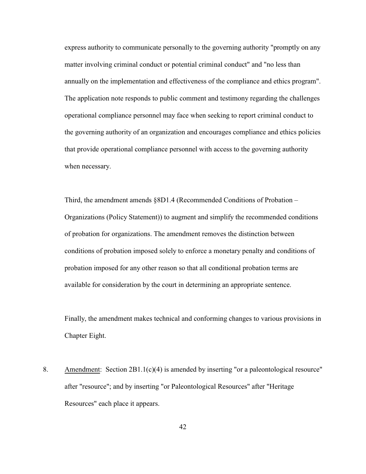express authority to communicate personally to the governing authority "promptly on any matter involving criminal conduct or potential criminal conduct" and "no less than annually on the implementation and effectiveness of the compliance and ethics program". The application note responds to public comment and testimony regarding the challenges operational compliance personnel may face when seeking to report criminal conduct to the governing authority of an organization and encourages compliance and ethics policies that provide operational compliance personnel with access to the governing authority when necessary.

Third, the amendment amends §8D1.4 (Recommended Conditions of Probation – Organizations (Policy Statement)) to augment and simplify the recommended conditions of probation for organizations. The amendment removes the distinction between conditions of probation imposed solely to enforce a monetary penalty and conditions of probation imposed for any other reason so that all conditional probation terms are available for consideration by the court in determining an appropriate sentence.

Finally, the amendment makes technical and conforming changes to various provisions in Chapter Eight.

8. Amendment: Section 2B1.1(c)(4) is amended by inserting "or a paleontological resource" after "resource"; and by inserting "or Paleontological Resources" after "Heritage Resources" each place it appears.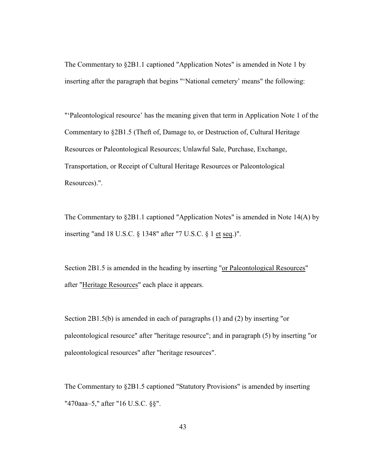The Commentary to §2B1.1 captioned "Application Notes" is amended in Note 1 by inserting after the paragraph that begins "'National cemetery' means" the following:

"'Paleontological resource' has the meaning given that term in Application Note 1 of the Commentary to §2B1.5 (Theft of, Damage to, or Destruction of, Cultural Heritage Resources or Paleontological Resources; Unlawful Sale, Purchase, Exchange, Transportation, or Receipt of Cultural Heritage Resources or Paleontological Resources).".

The Commentary to §2B1.1 captioned "Application Notes" is amended in Note 14(A) by inserting "and 18 U.S.C. § 1348" after "7 U.S.C. § 1 et seq.)".

Section 2B1.5 is amended in the heading by inserting "or Paleontological Resources" after "Heritage Resources" each place it appears.

Section 2B1.5(b) is amended in each of paragraphs (1) and (2) by inserting "or paleontological resource" after "heritage resource"; and in paragraph (5) by inserting "or paleontological resources" after "heritage resources".

The Commentary to §2B1.5 captioned "Statutory Provisions" is amended by inserting "470aaa–5," after "16 U.S.C. §§".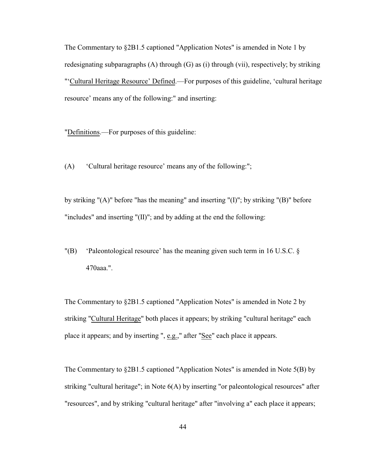The Commentary to §2B1.5 captioned "Application Notes" is amended in Note 1 by redesignating subparagraphs  $(A)$  through  $(G)$  as  $(i)$  through  $(vii)$ , respectively; by striking "'Cultural Heritage Resource' Defined.—For purposes of this guideline, 'cultural heritage resource' means any of the following:" and inserting:

"Definitions.—For purposes of this guideline:

(A) 'Cultural heritage resource' means any of the following:";

by striking "(A)" before "has the meaning" and inserting "(I)"; by striking "(B)" before "includes" and inserting "(II)"; and by adding at the end the following:

"(B) 'Paleontological resource' has the meaning given such term in 16 U.S.C. § 470aaa.".

The Commentary to §2B1.5 captioned "Application Notes" is amended in Note 2 by striking "Cultural Heritage" both places it appears; by striking "cultural heritage" each place it appears; and by inserting ", e.g.," after "See" each place it appears.

The Commentary to §2B1.5 captioned "Application Notes" is amended in Note 5(B) by striking "cultural heritage"; in Note 6(A) by inserting "or paleontological resources" after "resources", and by striking "cultural heritage" after "involving a" each place it appears;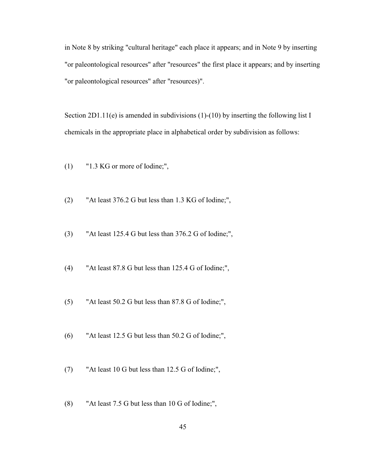in Note 8 by striking "cultural heritage" each place it appears; and in Note 9 by inserting "or paleontological resources" after "resources" the first place it appears; and by inserting "or paleontological resources" after "resources)".

Section 2D1.11(e) is amended in subdivisions (1)-(10) by inserting the following list I chemicals in the appropriate place in alphabetical order by subdivision as follows:

- (1) "1.3 KG or more of Iodine;",
- (2) "At least 376.2 G but less than 1.3 KG of Iodine;",
- (3) "At least 125.4 G but less than 376.2 G of Iodine;",
- (4) "At least 87.8 G but less than 125.4 G of Iodine;",
- (5) "At least 50.2 G but less than 87.8 G of Iodine;",
- (6) "At least 12.5 G but less than 50.2 G of Iodine;",
- (7) "At least 10 G but less than 12.5 G of Iodine;",
- (8) "At least 7.5 G but less than 10 G of Iodine;",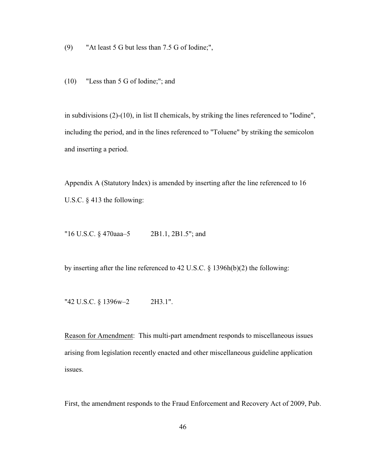(9) "At least 5 G but less than 7.5 G of Iodine;",

(10) "Less than 5 G of Iodine;"; and

in subdivisions (2)-(10), in list II chemicals, by striking the lines referenced to "Iodine", including the period, and in the lines referenced to "Toluene" by striking the semicolon and inserting a period.

Appendix A (Statutory Index) is amended by inserting after the line referenced to 16 U.S.C. § 413 the following:

"16 U.S.C. § 470aaa–5 2B1.1, 2B1.5"; and

by inserting after the line referenced to 42 U.S.C. § 1396h(b)(2) the following:

"42 U.S.C. § 1396w–2 2H3.1".

Reason for Amendment: This multi-part amendment responds to miscellaneous issues arising from legislation recently enacted and other miscellaneous guideline application issues.

First, the amendment responds to the Fraud Enforcement and Recovery Act of 2009, Pub.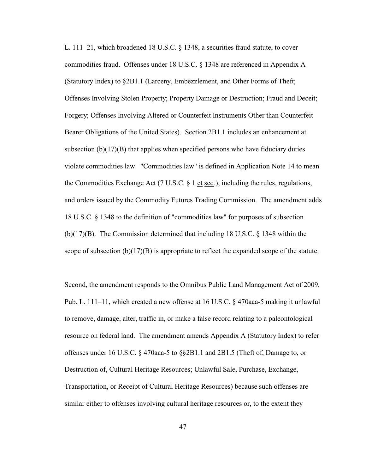L. 111–21, which broadened 18 U.S.C. § 1348, a securities fraud statute, to cover commodities fraud. Offenses under 18 U.S.C. § 1348 are referenced in Appendix A (Statutory Index) to §2B1.1 (Larceny, Embezzlement, and Other Forms of Theft; Offenses Involving Stolen Property; Property Damage or Destruction; Fraud and Deceit; Forgery; Offenses Involving Altered or Counterfeit Instruments Other than Counterfeit Bearer Obligations of the United States). Section 2B1.1 includes an enhancement at subsection  $(b)(17)(B)$  that applies when specified persons who have fiduciary duties violate commodities law. "Commodities law" is defined in Application Note 14 to mean the Commodities Exchange Act (7 U.S.C.  $\S$  1 et seq.), including the rules, regulations, and orders issued by the Commodity Futures Trading Commission. The amendment adds 18 U.S.C. § 1348 to the definition of "commodities law" for purposes of subsection (b)(17)(B). The Commission determined that including 18 U.S.C. § 1348 within the scope of subsection  $(b)(17)(B)$  is appropriate to reflect the expanded scope of the statute.

Second, the amendment responds to the Omnibus Public Land Management Act of 2009, Pub. L. 111–11, which created a new offense at 16 U.S.C. § 470aaa-5 making it unlawful to remove, damage, alter, traffic in, or make a false record relating to a paleontological resource on federal land. The amendment amends Appendix A (Statutory Index) to refer offenses under 16 U.S.C. § 470aaa-5 to §§2B1.1 and 2B1.5 (Theft of, Damage to, or Destruction of, Cultural Heritage Resources; Unlawful Sale, Purchase, Exchange, Transportation, or Receipt of Cultural Heritage Resources) because such offenses are similar either to offenses involving cultural heritage resources or, to the extent they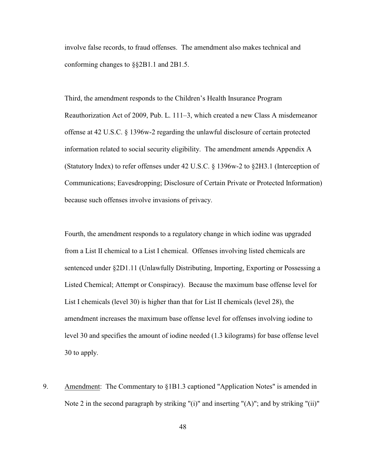involve false records, to fraud offenses. The amendment also makes technical and conforming changes to §§2B1.1 and 2B1.5.

Third, the amendment responds to the Children's Health Insurance Program Reauthorization Act of 2009, Pub. L. 111–3, which created a new Class A misdemeanor offense at 42 U.S.C. § 1396w-2 regarding the unlawful disclosure of certain protected information related to social security eligibility. The amendment amends Appendix A (Statutory Index) to refer offenses under 42 U.S.C. § 1396w-2 to §2H3.1 (Interception of Communications; Eavesdropping; Disclosure of Certain Private or Protected Information) because such offenses involve invasions of privacy.

Fourth, the amendment responds to a regulatory change in which iodine was upgraded from a List II chemical to a List I chemical. Offenses involving listed chemicals are sentenced under §2D1.11 (Unlawfully Distributing, Importing, Exporting or Possessing a Listed Chemical; Attempt or Conspiracy). Because the maximum base offense level for List I chemicals (level 30) is higher than that for List II chemicals (level 28), the amendment increases the maximum base offense level for offenses involving iodine to level 30 and specifies the amount of iodine needed (1.3 kilograms) for base offense level 30 to apply.

9. Amendment: The Commentary to §1B1.3 captioned "Application Notes" is amended in Note 2 in the second paragraph by striking "(i)" and inserting "(A)"; and by striking "(ii)"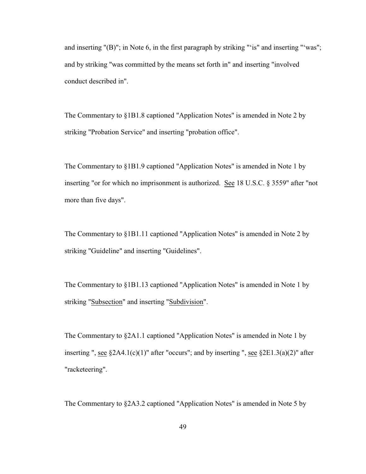and inserting "(B)"; in Note 6, in the first paragraph by striking "'is" and inserting "'was"; and by striking "was committed by the means set forth in" and inserting "involved conduct described in".

The Commentary to §1B1.8 captioned "Application Notes" is amended in Note 2 by striking "Probation Service" and inserting "probation office".

The Commentary to §1B1.9 captioned "Application Notes" is amended in Note 1 by inserting "or for which no imprisonment is authorized. See 18 U.S.C. § 3559" after "not more than five days".

The Commentary to §1B1.11 captioned "Application Notes" is amended in Note 2 by striking "Guideline" and inserting "Guidelines".

The Commentary to §1B1.13 captioned "Application Notes" is amended in Note 1 by striking "Subsection" and inserting "Subdivision".

The Commentary to §2A1.1 captioned "Application Notes" is amended in Note 1 by inserting ", see  $\S 2A4.1(c)(1)$ " after "occurs"; and by inserting ", see  $\S 2E1.3(a)(2)$ " after "racketeering".

The Commentary to §2A3.2 captioned "Application Notes" is amended in Note 5 by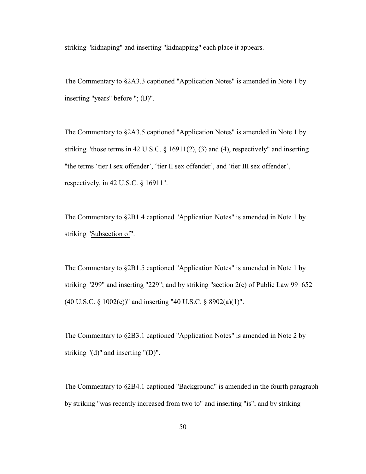striking "kidnaping" and inserting "kidnapping" each place it appears.

The Commentary to §2A3.3 captioned "Application Notes" is amended in Note 1 by inserting "years" before "; (B)".

The Commentary to §2A3.5 captioned "Application Notes" is amended in Note 1 by striking "those terms in 42 U.S.C. § 16911(2), (3) and (4), respectively" and inserting "the terms 'tier I sex offender', 'tier II sex offender', and 'tier III sex offender', respectively, in 42 U.S.C. § 16911".

The Commentary to §2B1.4 captioned "Application Notes" is amended in Note 1 by striking "Subsection of".

The Commentary to §2B1.5 captioned "Application Notes" is amended in Note 1 by striking "299" and inserting "229"; and by striking "section 2(c) of Public Law 99–652 (40 U.S.C. § 1002(c))" and inserting "40 U.S.C. § 8902(a)(1)".

The Commentary to §2B3.1 captioned "Application Notes" is amended in Note 2 by striking "(d)" and inserting "(D)".

The Commentary to §2B4.1 captioned "Background" is amended in the fourth paragraph by striking "was recently increased from two to" and inserting "is"; and by striking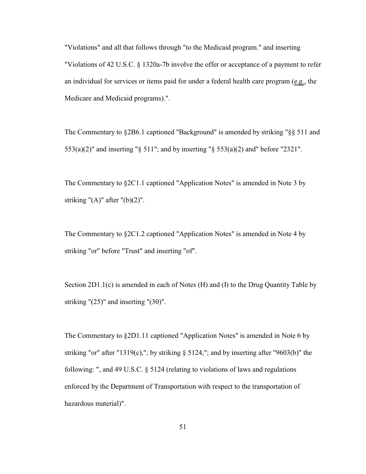"Violations" and all that follows through "to the Medicaid program." and inserting "Violations of 42 U.S.C. § 1320a-7b involve the offer or acceptance of a payment to refer an individual for services or items paid for under a federal health care program (e.g., the Medicare and Medicaid programs).".

The Commentary to §2B6.1 captioned "Background" is amended by striking "§§ 511 and 553(a)(2)" and inserting "§ 511"; and by inserting "§ 553(a)(2) and" before "2321".

The Commentary to §2C1.1 captioned "Application Notes" is amended in Note 3 by striking " $(A)$ " after " $(b)(2)$ ".

The Commentary to §2C1.2 captioned "Application Notes" is amended in Note 4 by striking "or" before "Trust" and inserting "of".

Section 2D1.1(c) is amended in each of Notes (H) and (I) to the Drug Quantity Table by striking "(25)" and inserting "(30)".

The Commentary to §2D1.11 captioned "Application Notes" is amended in Note 6 by striking "or" after "1319(c),"; by striking  $\S$  5124,"; and by inserting after "9603(b)" the following: ", and 49 U.S.C. § 5124 (relating to violations of laws and regulations enforced by the Department of Transportation with respect to the transportation of hazardous material)".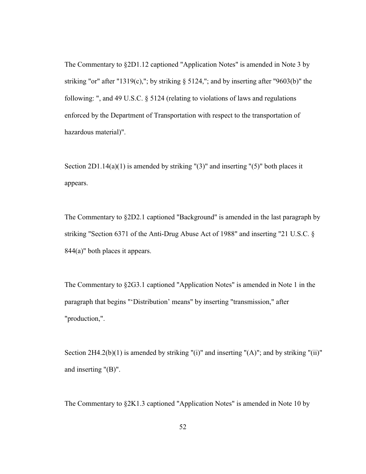The Commentary to §2D1.12 captioned "Application Notes" is amended in Note 3 by striking "or" after "1319(c),"; by striking § 5124,"; and by inserting after "9603(b)" the following: ", and 49 U.S.C. § 5124 (relating to violations of laws and regulations enforced by the Department of Transportation with respect to the transportation of hazardous material)".

Section  $2D1.14(a)(1)$  is amended by striking "(3)" and inserting "(5)" both places it appears.

The Commentary to §2D2.1 captioned "Background" is amended in the last paragraph by striking "Section 6371 of the Anti-Drug Abuse Act of 1988" and inserting "21 U.S.C. § 844(a)" both places it appears.

The Commentary to §2G3.1 captioned "Application Notes" is amended in Note 1 in the paragraph that begins "'Distribution' means" by inserting "transmission," after "production,".

Section  $2H4.2(b)(1)$  is amended by striking "(i)" and inserting "(A)"; and by striking "(ii)" and inserting "(B)".

The Commentary to §2K1.3 captioned "Application Notes" is amended in Note 10 by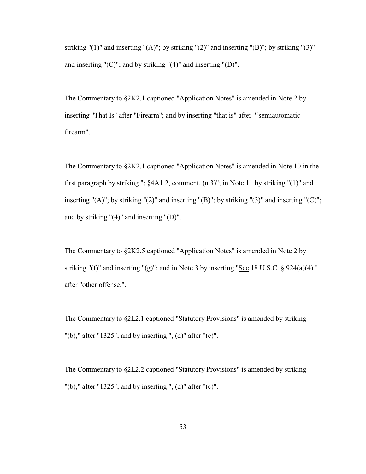striking " $(1)$ " and inserting " $(A)$ "; by striking " $(2)$ " and inserting " $(B)$ "; by striking " $(3)$ " and inserting "(C)"; and by striking "(4)" and inserting "(D)".

The Commentary to §2K2.1 captioned "Application Notes" is amended in Note 2 by inserting "That Is" after "Firearm"; and by inserting "that is" after "'semiautomatic firearm".

The Commentary to §2K2.1 captioned "Application Notes" is amended in Note 10 in the first paragraph by striking "; §4A1.2, comment. (n.3)"; in Note 11 by striking "(1)" and inserting "(A)"; by striking "(2)" and inserting "(B)"; by striking "(3)" and inserting "(C)"; and by striking "(4)" and inserting "(D)".

The Commentary to §2K2.5 captioned "Application Notes" is amended in Note 2 by striking "(f)" and inserting "(g)"; and in Note 3 by inserting "See 18 U.S.C.  $\S$  924(a)(4)." after "other offense.".

The Commentary to §2L2.1 captioned "Statutory Provisions" is amended by striking "(b)," after "1325"; and by inserting ", (d)" after "(c)".

The Commentary to §2L2.2 captioned "Statutory Provisions" is amended by striking "(b)," after "1325"; and by inserting ", (d)" after "(c)".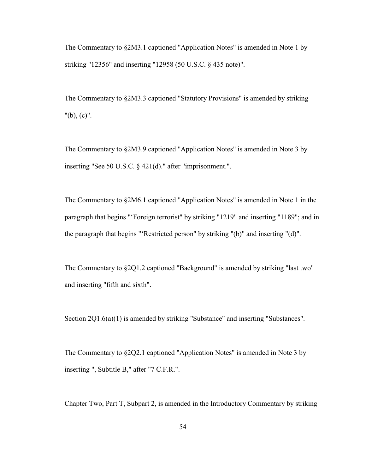The Commentary to §2M3.1 captioned "Application Notes" is amended in Note 1 by striking "12356" and inserting "12958 (50 U.S.C. § 435 note)".

The Commentary to §2M3.3 captioned "Statutory Provisions" is amended by striking "(b), (c)".

The Commentary to §2M3.9 captioned "Application Notes" is amended in Note 3 by inserting "See 50 U.S.C. § 421(d)." after "imprisonment.".

The Commentary to §2M6.1 captioned "Application Notes" is amended in Note 1 in the paragraph that begins "'Foreign terrorist" by striking "1219" and inserting "1189"; and in the paragraph that begins "'Restricted person" by striking "(b)" and inserting "(d)".

The Commentary to §2Q1.2 captioned "Background" is amended by striking "last two" and inserting "fifth and sixth".

Section 2Q1.6(a)(1) is amended by striking "Substance" and inserting "Substances".

The Commentary to §2Q2.1 captioned "Application Notes" is amended in Note 3 by inserting ", Subtitle B," after "7 C.F.R.".

Chapter Two, Part T, Subpart 2, is amended in the Introductory Commentary by striking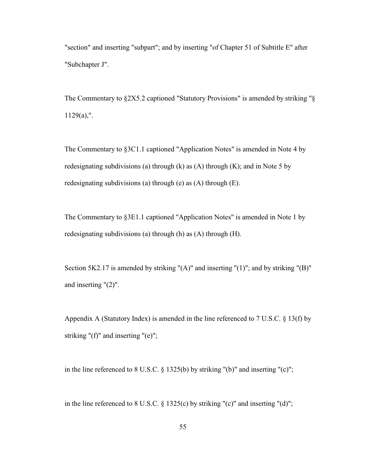"section" and inserting "subpart"; and by inserting "of Chapter 51 of Subtitle E" after "Subchapter J".

The Commentary to §2X5.2 captioned "Statutory Provisions" is amended by striking "§  $1129(a)$ ,".

The Commentary to §3C1.1 captioned "Application Notes" is amended in Note 4 by redesignating subdivisions (a) through (k) as  $(A)$  through  $(K)$ ; and in Note 5 by redesignating subdivisions (a) through (e) as (A) through (E).

The Commentary to §3E1.1 captioned "Application Notes" is amended in Note 1 by redesignating subdivisions (a) through (h) as (A) through (H).

Section 5K2.17 is amended by striking " $(A)$ " and inserting " $(1)$ "; and by striking " $(B)$ " and inserting "(2)".

Appendix A (Statutory Index) is amended in the line referenced to 7 U.S.C. § 13(f) by striking "(f)" and inserting "(e)";

in the line referenced to 8 U.S.C. § 1325(b) by striking "(b)" and inserting "(c)";

in the line referenced to 8 U.S.C.  $\S 1325(c)$  by striking "(c)" and inserting "(d)";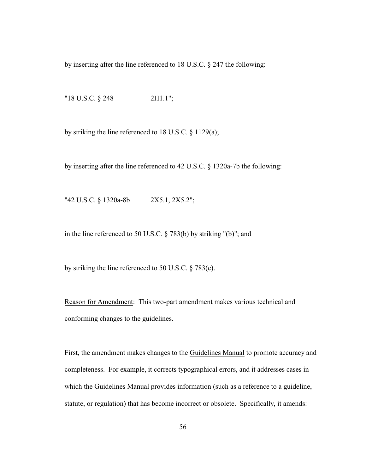by inserting after the line referenced to 18 U.S.C. § 247 the following:

"18 U.S.C. § 248 2H1.1";

by striking the line referenced to 18 U.S.C. § 1129(a);

by inserting after the line referenced to 42 U.S.C. § 1320a-7b the following:

"42 U.S.C. § 1320a-8b 2X5.1, 2X5.2";

in the line referenced to 50 U.S.C. § 783(b) by striking "(b)"; and

by striking the line referenced to 50 U.S.C. § 783(c).

Reason for Amendment: This two-part amendment makes various technical and conforming changes to the guidelines.

First, the amendment makes changes to the Guidelines Manual to promote accuracy and completeness. For example, it corrects typographical errors, and it addresses cases in which the Guidelines Manual provides information (such as a reference to a guideline, statute, or regulation) that has become incorrect or obsolete. Specifically, it amends: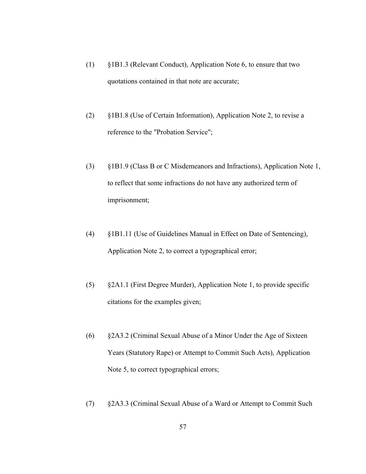- (1) §1B1.3 (Relevant Conduct), Application Note 6, to ensure that two quotations contained in that note are accurate;
- (2) §1B1.8 (Use of Certain Information), Application Note 2, to revise a reference to the "Probation Service";
- (3) §1B1.9 (Class B or C Misdemeanors and Infractions), Application Note 1, to reflect that some infractions do not have any authorized term of imprisonment;
- (4) §1B1.11 (Use of Guidelines Manual in Effect on Date of Sentencing), Application Note 2, to correct a typographical error;
- (5) §2A1.1 (First Degree Murder), Application Note 1, to provide specific citations for the examples given;
- (6) §2A3.2 (Criminal Sexual Abuse of a Minor Under the Age of Sixteen Years (Statutory Rape) or Attempt to Commit Such Acts), Application Note 5, to correct typographical errors;
- (7) §2A3.3 (Criminal Sexual Abuse of a Ward or Attempt to Commit Such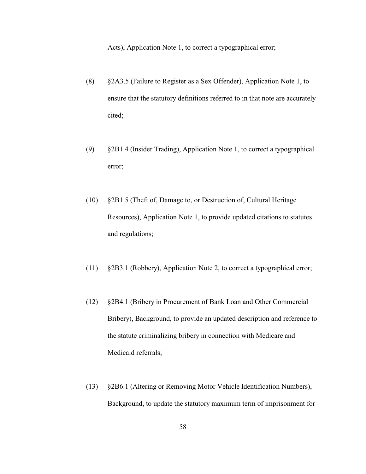Acts), Application Note 1, to correct a typographical error;

- (8) §2A3.5 (Failure to Register as a Sex Offender), Application Note 1, to ensure that the statutory definitions referred to in that note are accurately cited;
- (9) §2B1.4 (Insider Trading), Application Note 1, to correct a typographical error;
- (10) §2B1.5 (Theft of, Damage to, or Destruction of, Cultural Heritage Resources), Application Note 1, to provide updated citations to statutes and regulations;
- (11) §2B3.1 (Robbery), Application Note 2, to correct a typographical error;
- (12) §2B4.1 (Bribery in Procurement of Bank Loan and Other Commercial Bribery), Background, to provide an updated description and reference to the statute criminalizing bribery in connection with Medicare and Medicaid referrals;
- (13) §2B6.1 (Altering or Removing Motor Vehicle Identification Numbers), Background, to update the statutory maximum term of imprisonment for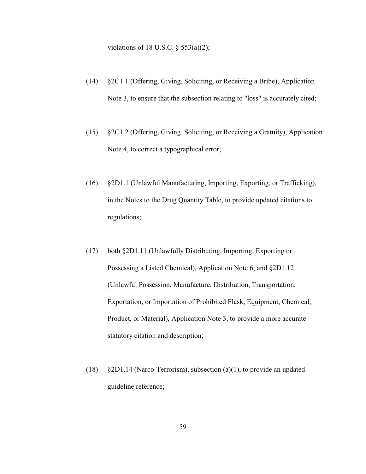violations of 18 U.S.C.  $\S$  553(a)(2);

- (14) §2C1.1 (Offering, Giving, Soliciting, or Receiving a Bribe), Application Note 3, to ensure that the subsection relating to "loss" is accurately cited;
- (15) §2C1.2 (Offering, Giving, Soliciting, or Receiving a Gratuity), Application Note 4, to correct a typographical error;
- (16) §2D1.1 (Unlawful Manufacturing, Importing, Exporting, or Trafficking), in the Notes to the Drug Quantity Table, to provide updated citations to regulations;
- (17) both §2D1.11 (Unlawfully Distributing, Importing, Exporting or Possessing a Listed Chemical), Application Note 6, and §2D1.12 (Unlawful Possession, Manufacture, Distribution, Transportation, Exportation, or Importation of Prohibited Flask, Equipment, Chemical, Product, or Material), Application Note 3, to provide a more accurate statutory citation and description;
- (18) §2D1.14 (Narco-Terrorism), subsection (a)(1), to provide an updated guideline reference;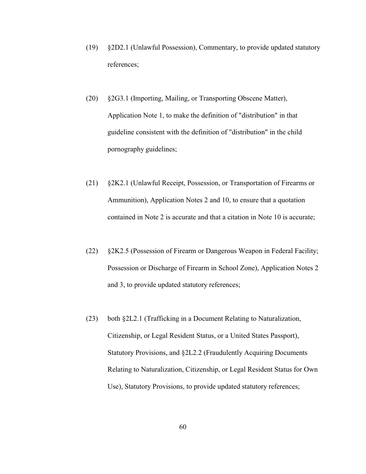- (19) §2D2.1 (Unlawful Possession), Commentary, to provide updated statutory references;
- (20) §2G3.1 (Importing, Mailing, or Transporting Obscene Matter), Application Note 1, to make the definition of "distribution" in that guideline consistent with the definition of "distribution" in the child pornography guidelines;
- (21) §2K2.1 (Unlawful Receipt, Possession, or Transportation of Firearms or Ammunition), Application Notes 2 and 10, to ensure that a quotation contained in Note 2 is accurate and that a citation in Note 10 is accurate;
- (22) §2K2.5 (Possession of Firearm or Dangerous Weapon in Federal Facility; Possession or Discharge of Firearm in School Zone), Application Notes 2 and 3, to provide updated statutory references;
- (23) both §2L2.1 (Trafficking in a Document Relating to Naturalization, Citizenship, or Legal Resident Status, or a United States Passport), Statutory Provisions, and §2L2.2 (Fraudulently Acquiring Documents Relating to Naturalization, Citizenship, or Legal Resident Status for Own Use), Statutory Provisions, to provide updated statutory references;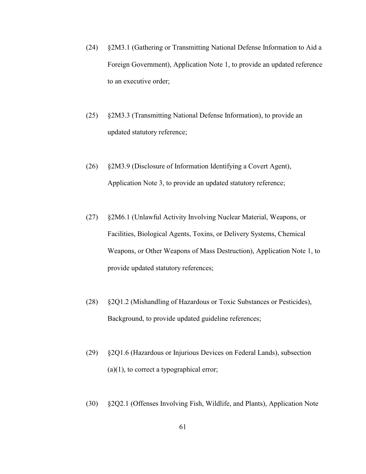- (24) §2M3.1 (Gathering or Transmitting National Defense Information to Aid a Foreign Government), Application Note 1, to provide an updated reference to an executive order;
- (25) §2M3.3 (Transmitting National Defense Information), to provide an updated statutory reference;
- (26) §2M3.9 (Disclosure of Information Identifying a Covert Agent), Application Note 3, to provide an updated statutory reference;
- (27) §2M6.1 (Unlawful Activity Involving Nuclear Material, Weapons, or Facilities, Biological Agents, Toxins, or Delivery Systems, Chemical Weapons, or Other Weapons of Mass Destruction), Application Note 1, to provide updated statutory references;
- (28) §2Q1.2 (Mishandling of Hazardous or Toxic Substances or Pesticides), Background, to provide updated guideline references;
- (29) §2Q1.6 (Hazardous or Injurious Devices on Federal Lands), subsection  $(a)(1)$ , to correct a typographical error;
- (30) §2Q2.1 (Offenses Involving Fish, Wildlife, and Plants), Application Note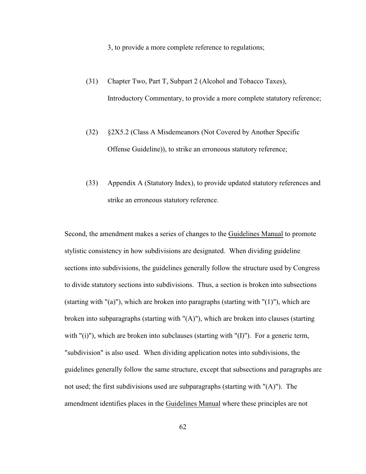3, to provide a more complete reference to regulations;

- (31) Chapter Two, Part T, Subpart 2 (Alcohol and Tobacco Taxes), Introductory Commentary, to provide a more complete statutory reference;
- (32) §2X5.2 (Class A Misdemeanors (Not Covered by Another Specific Offense Guideline)), to strike an erroneous statutory reference;
- (33) Appendix A (Statutory Index), to provide updated statutory references and strike an erroneous statutory reference.

Second, the amendment makes a series of changes to the Guidelines Manual to promote stylistic consistency in how subdivisions are designated. When dividing guideline sections into subdivisions, the guidelines generally follow the structure used by Congress to divide statutory sections into subdivisions. Thus, a section is broken into subsections (starting with " $(a)$ "), which are broken into paragraphs (starting with " $(1)$ "), which are broken into subparagraphs (starting with "(A)"), which are broken into clauses (starting with  $"(i)$ "), which are broken into subclauses (starting with  $"(I)$ "). For a generic term, "subdivision" is also used. When dividing application notes into subdivisions, the guidelines generally follow the same structure, except that subsections and paragraphs are not used; the first subdivisions used are subparagraphs (starting with "(A)"). The amendment identifies places in the Guidelines Manual where these principles are not